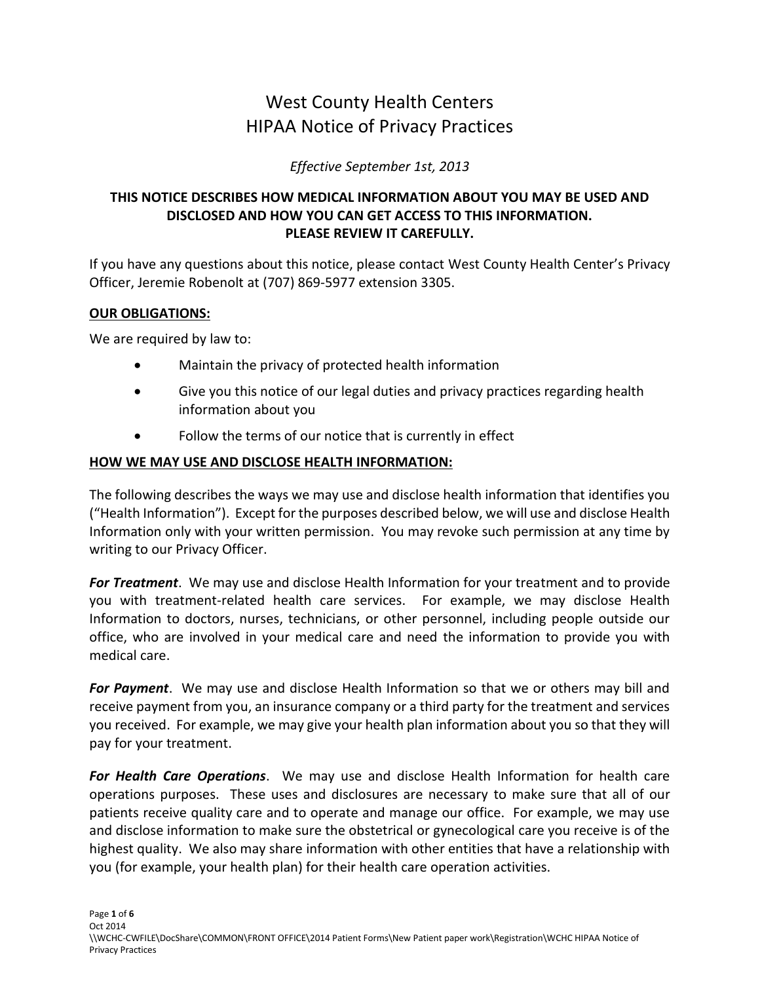# West County Health Centers HIPAA Notice of Privacy Practices

# *Effective September 1st, 2013*

# **THIS NOTICE DESCRIBES HOW MEDICAL INFORMATION ABOUT YOU MAY BE USED AND DISCLOSED AND HOW YOU CAN GET ACCESS TO THIS INFORMATION. PLEASE REVIEW IT CAREFULLY.**

If you have any questions about this notice, please contact West County Health Center's Privacy Officer, Jeremie Robenolt at (707) 869-5977 extension 3305.

#### **OUR OBLIGATIONS:**

We are required by law to:

- Maintain the privacy of protected health information
- Give you this notice of our legal duties and privacy practices regarding health information about you
- Follow the terms of our notice that is currently in effect

## **HOW WE MAY USE AND DISCLOSE HEALTH INFORMATION:**

The following describes the ways we may use and disclose health information that identifies you ("Health Information"). Except for the purposes described below, we will use and disclose Health Information only with your written permission. You may revoke such permission at any time by writing to our Privacy Officer.

*For Treatment*. We may use and disclose Health Information for your treatment and to provide you with treatment-related health care services. For example, we may disclose Health Information to doctors, nurses, technicians, or other personnel, including people outside our office, who are involved in your medical care and need the information to provide you with medical care.

*For Payment*. We may use and disclose Health Information so that we or others may bill and receive payment from you, an insurance company or a third party for the treatment and services you received. For example, we may give your health plan information about you so that they will pay for your treatment.

*For Health Care Operations*. We may use and disclose Health Information for health care operations purposes. These uses and disclosures are necessary to make sure that all of our patients receive quality care and to operate and manage our office. For example, we may use and disclose information to make sure the obstetrical or gynecological care you receive is of the highest quality. We also may share information with other entities that have a relationship with you (for example, your health plan) for their health care operation activities.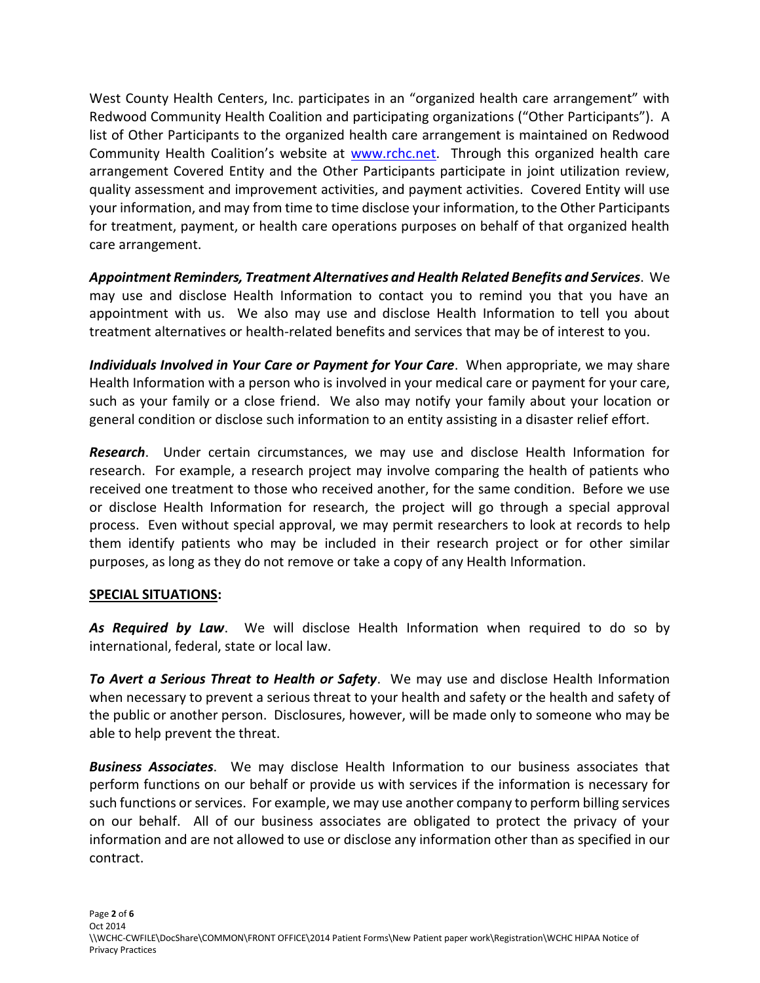West County Health Centers, Inc. participates in an "organized health care arrangement" with Redwood Community Health Coalition and participating organizations ("Other Participants"). A list of Other Participants to the organized health care arrangement is maintained on Redwood Community Health Coalition's website at [www.rchc.net.](http://www.rchc.net/) Through this organized health care arrangement Covered Entity and the Other Participants participate in joint utilization review, quality assessment and improvement activities, and payment activities. Covered Entity will use your information, and may from time to time disclose your information, to the Other Participants for treatment, payment, or health care operations purposes on behalf of that organized health care arrangement.

*Appointment Reminders, Treatment Alternatives and Health Related Benefits and Services*. We may use and disclose Health Information to contact you to remind you that you have an appointment with us. We also may use and disclose Health Information to tell you about treatment alternatives or health-related benefits and services that may be of interest to you.

*Individuals Involved in Your Care or Payment for Your Care*. When appropriate, we may share Health Information with a person who is involved in your medical care or payment for your care, such as your family or a close friend. We also may notify your family about your location or general condition or disclose such information to an entity assisting in a disaster relief effort.

*Research*. Under certain circumstances, we may use and disclose Health Information for research. For example, a research project may involve comparing the health of patients who received one treatment to those who received another, for the same condition. Before we use or disclose Health Information for research, the project will go through a special approval process. Even without special approval, we may permit researchers to look at records to help them identify patients who may be included in their research project or for other similar purposes, as long as they do not remove or take a copy of any Health Information.

#### **SPECIAL SITUATIONS:**

*As Required by Law*. We will disclose Health Information when required to do so by international, federal, state or local law.

*To Avert a Serious Threat to Health or Safety*. We may use and disclose Health Information when necessary to prevent a serious threat to your health and safety or the health and safety of the public or another person. Disclosures, however, will be made only to someone who may be able to help prevent the threat.

*Business Associates*. We may disclose Health Information to our business associates that perform functions on our behalf or provide us with services if the information is necessary for such functions or services. For example, we may use another company to perform billing services on our behalf. All of our business associates are obligated to protect the privacy of your information and are not allowed to use or disclose any information other than as specified in our contract.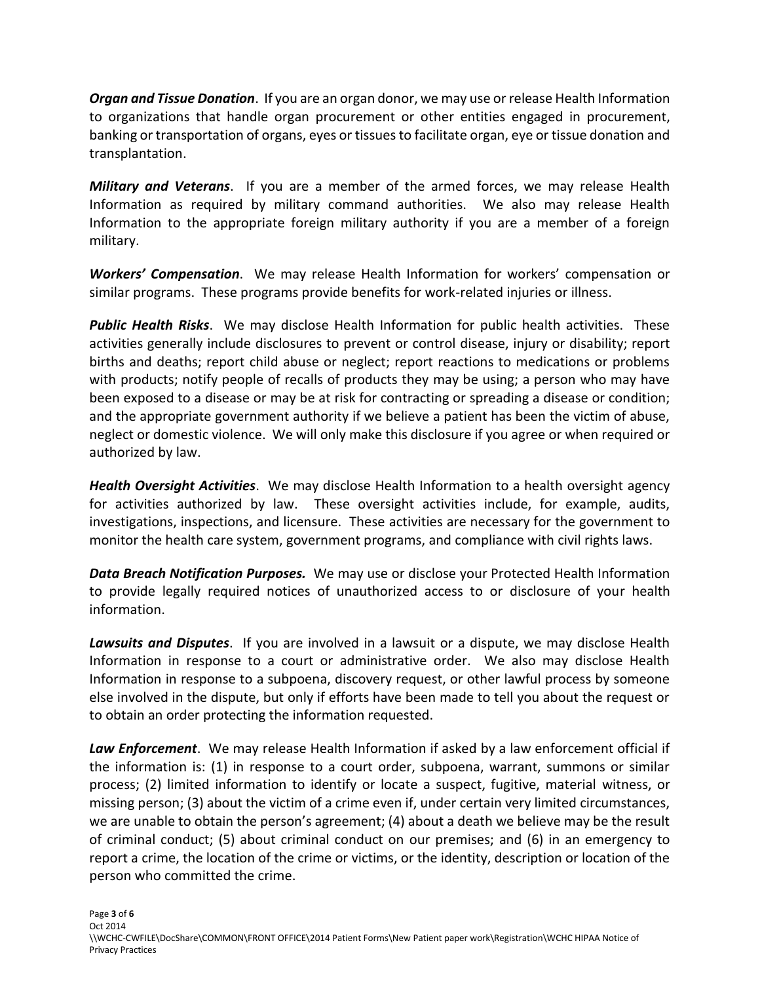*Organ and Tissue Donation*. If you are an organ donor, we may use or release Health Information to organizations that handle organ procurement or other entities engaged in procurement, banking or transportation of organs, eyes or tissues to facilitate organ, eye or tissue donation and transplantation.

*Military and Veterans*. If you are a member of the armed forces, we may release Health Information as required by military command authorities. We also may release Health Information to the appropriate foreign military authority if you are a member of a foreign military.

*Workers' Compensation*. We may release Health Information for workers' compensation or similar programs. These programs provide benefits for work-related injuries or illness.

*Public Health Risks*. We may disclose Health Information for public health activities. These activities generally include disclosures to prevent or control disease, injury or disability; report births and deaths; report child abuse or neglect; report reactions to medications or problems with products; notify people of recalls of products they may be using; a person who may have been exposed to a disease or may be at risk for contracting or spreading a disease or condition; and the appropriate government authority if we believe a patient has been the victim of abuse, neglect or domestic violence. We will only make this disclosure if you agree or when required or authorized by law.

*Health Oversight Activities*. We may disclose Health Information to a health oversight agency for activities authorized by law. These oversight activities include, for example, audits, investigations, inspections, and licensure. These activities are necessary for the government to monitor the health care system, government programs, and compliance with civil rights laws.

*Data Breach Notification Purposes.* We may use or disclose your Protected Health Information to provide legally required notices of unauthorized access to or disclosure of your health information.

*Lawsuits and Disputes*. If you are involved in a lawsuit or a dispute, we may disclose Health Information in response to a court or administrative order. We also may disclose Health Information in response to a subpoena, discovery request, or other lawful process by someone else involved in the dispute, but only if efforts have been made to tell you about the request or to obtain an order protecting the information requested.

*Law Enforcement*. We may release Health Information if asked by a law enforcement official if the information is: (1) in response to a court order, subpoena, warrant, summons or similar process; (2) limited information to identify or locate a suspect, fugitive, material witness, or missing person; (3) about the victim of a crime even if, under certain very limited circumstances, we are unable to obtain the person's agreement; (4) about a death we believe may be the result of criminal conduct; (5) about criminal conduct on our premises; and (6) in an emergency to report a crime, the location of the crime or victims, or the identity, description or location of the person who committed the crime.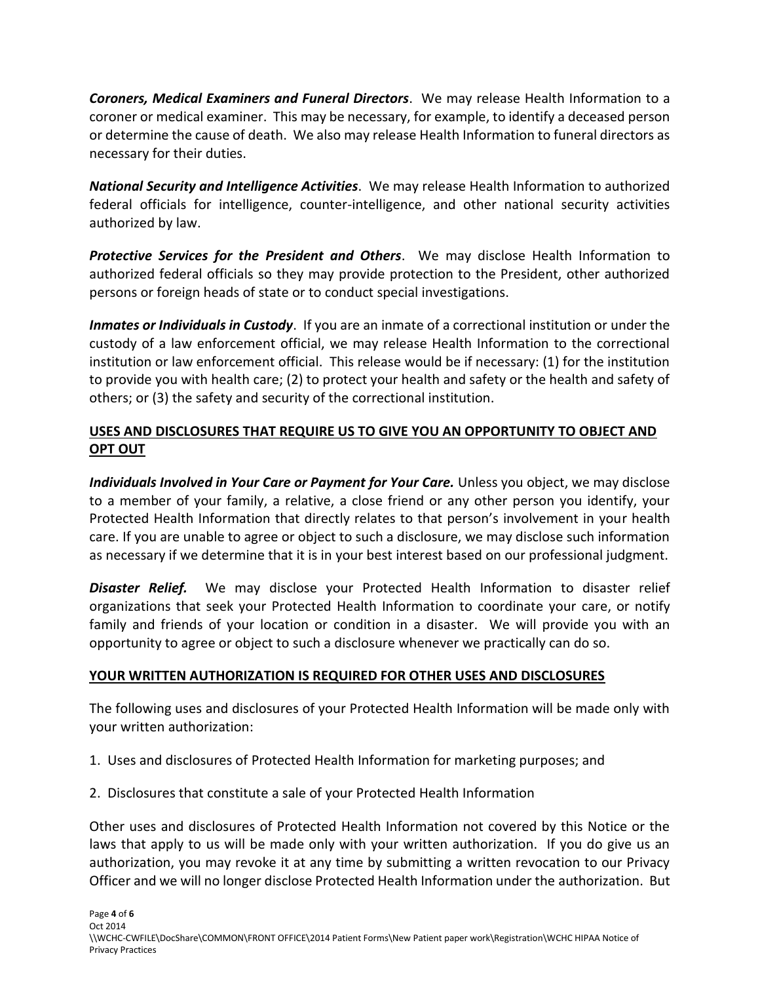*Coroners, Medical Examiners and Funeral Directors*. We may release Health Information to a coroner or medical examiner. This may be necessary, for example, to identify a deceased person or determine the cause of death. We also may release Health Information to funeral directors as necessary for their duties.

*National Security and Intelligence Activities*. We may release Health Information to authorized federal officials for intelligence, counter-intelligence, and other national security activities authorized by law.

*Protective Services for the President and Others*. We may disclose Health Information to authorized federal officials so they may provide protection to the President, other authorized persons or foreign heads of state or to conduct special investigations.

*Inmates or Individuals in Custody*. If you are an inmate of a correctional institution or under the custody of a law enforcement official, we may release Health Information to the correctional institution or law enforcement official. This release would be if necessary: (1) for the institution to provide you with health care; (2) to protect your health and safety or the health and safety of others; or (3) the safety and security of the correctional institution.

# **USES AND DISCLOSURES THAT REQUIRE US TO GIVE YOU AN OPPORTUNITY TO OBJECT AND OPT OUT**

*Individuals Involved in Your Care or Payment for Your Care.* Unless you object, we may disclose to a member of your family, a relative, a close friend or any other person you identify, your Protected Health Information that directly relates to that person's involvement in your health care. If you are unable to agree or object to such a disclosure, we may disclose such information as necessary if we determine that it is in your best interest based on our professional judgment.

*Disaster Relief.* We may disclose your Protected Health Information to disaster relief organizations that seek your Protected Health Information to coordinate your care, or notify family and friends of your location or condition in a disaster. We will provide you with an opportunity to agree or object to such a disclosure whenever we practically can do so.

## **YOUR WRITTEN AUTHORIZATION IS REQUIRED FOR OTHER USES AND DISCLOSURES**

The following uses and disclosures of your Protected Health Information will be made only with your written authorization:

- 1. Uses and disclosures of Protected Health Information for marketing purposes; and
- 2. Disclosures that constitute a sale of your Protected Health Information

Other uses and disclosures of Protected Health Information not covered by this Notice or the laws that apply to us will be made only with your written authorization. If you do give us an authorization, you may revoke it at any time by submitting a written revocation to our Privacy Officer and we will no longer disclose Protected Health Information under the authorization. But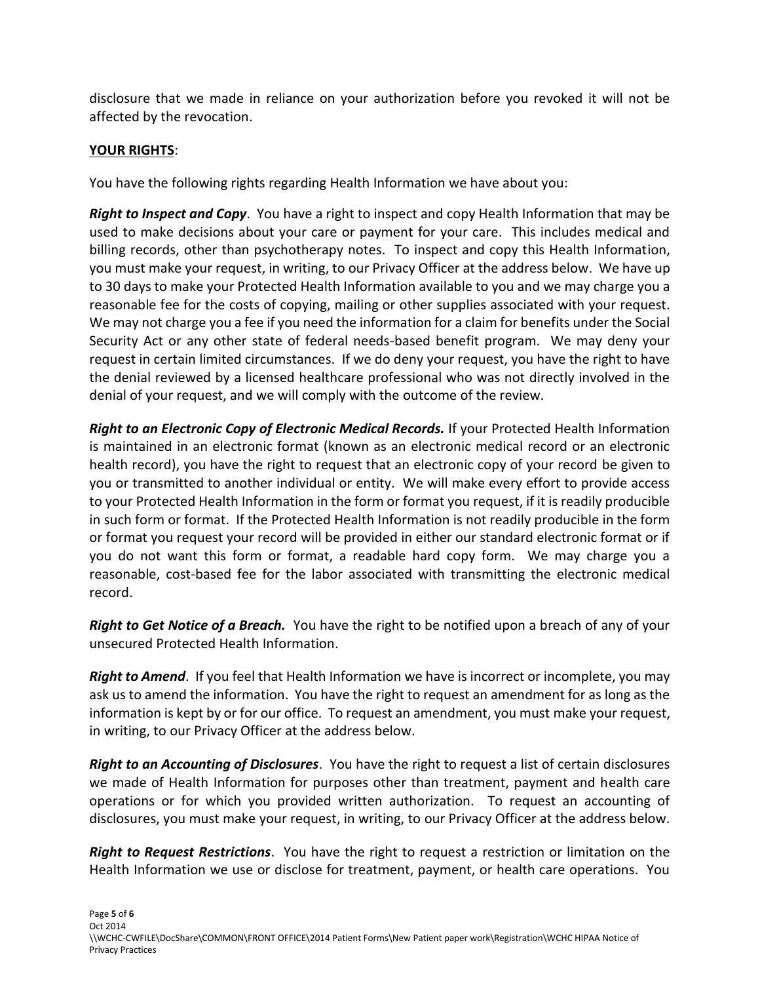disclosure that we made in reliance on your authorization before you revoked it will not be affected by the revocation.

# **YOUR RIGHTS**:

You have the following rights regarding Health Information we have about you:

*Right to Inspect and Copy*. You have a right to inspect and copy Health Information that may be used to make decisions about your care or payment for your care. This includes medical and billing records, other than psychotherapy notes. To inspect and copy this Health Information, you must make your request, in writing, to our Privacy Officer at the address below. We have up to 30 days to make your Protected Health Information available to you and we may charge you a reasonable fee for the costs of copying, mailing or other supplies associated with your request. We may not charge you a fee if you need the information for a claim for benefits under the Social Security Act or any other state of federal needs-based benefit program. We may deny your request in certain limited circumstances. If we do deny your request, you have the right to have the denial reviewed by a licensed healthcare professional who was not directly involved in the denial of your request, and we will comply with the outcome of the review.

*Right to an Electronic Copy of Electronic Medical Records.* If your Protected Health Information is maintained in an electronic format (known as an electronic medical record or an electronic health record), you have the right to request that an electronic copy of your record be given to you or transmitted to another individual or entity. We will make every effort to provide access to your Protected Health Information in the form or format you request, if it is readily producible in such form or format. If the Protected Health Information is not readily producible in the form or format you request your record will be provided in either our standard electronic format or if you do not want this form or format, a readable hard copy form. We may charge you a reasonable, cost-based fee for the labor associated with transmitting the electronic medical record.

*Right to Get Notice of a Breach.* You have the right to be notified upon a breach of any of your unsecured Protected Health Information.

*Right to Amend*. If you feel that Health Information we have is incorrect or incomplete, you may ask us to amend the information. You have the right to request an amendment for as long as the information is kept by or for our office. To request an amendment, you must make your request, in writing, to our Privacy Officer at the address below.

*Right to an Accounting of Disclosures*. You have the right to request a list of certain disclosures we made of Health Information for purposes other than treatment, payment and health care operations or for which you provided written authorization. To request an accounting of disclosures, you must make your request, in writing, to our Privacy Officer at the address below.

*Right to Request Restrictions*. You have the right to request a restriction or limitation on the Health Information we use or disclose for treatment, payment, or health care operations. You